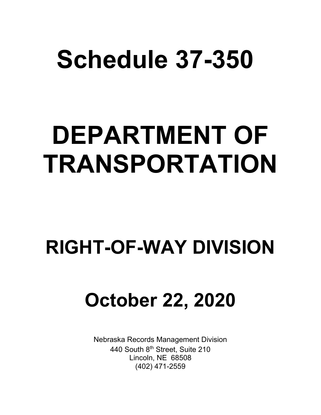# **Schedule 37-350**

# **DEPARTMENT OF TRANSPORTATION**

# **RIGHT-OF-WAY DIVISION**

# **October 22, 2020**

Nebraska Records Management Division 440 South 8<sup>th</sup> Street, Suite 210 Lincoln, NE 68508 (402) 471-2559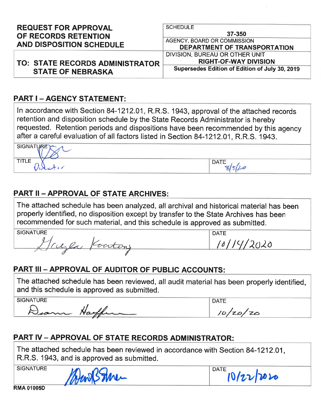| <b>REQUEST FOR APPROVAL</b>                             | <b>SCHEDULE</b>                                                              |  |
|---------------------------------------------------------|------------------------------------------------------------------------------|--|
| OF RECORDS RETENTION<br><b>AND DISPOSITION SCHEDULE</b> | 37-350<br>AGENCY, BOARD OR COMMISSION<br><b>DEPARTMENT OF TRANSPORTATION</b> |  |
|                                                         | DIVISION, BUREAU OR OTHER UNIT                                               |  |
| <b>TO: STATE RECORDS ADMINISTRATOR</b>                  | <b>RIGHT-OF-WAY DIVISION</b>                                                 |  |
| <b>STATE OF NEBRASKA</b>                                | Supersedes Edition of Edition of July 30, 2019                               |  |

## **PART I - AGENCY STATEMENT:**

In accordance with Section 84-1212.01, R.R.S. 1943, approval of the attached records retention and disposition schedule by the State Records Administrator is hereby requested. Retention periods and dispositions have been recommended by this agency after a careful evaluation of all factors listed in Section 84-1212.01, R.R.S. 1943.

| <b>SIGNATURE</b><br>________                                       | the company of the company of the company |
|--------------------------------------------------------------------|-------------------------------------------|
| <b>TITLE</b><br>$V^{\dagger}$<br><b>Contract Contract Contract</b> | DATE                                      |

## **PART II - APPROVAL OF STATE ARCHIVES:**

The attached schedule has been analyzed, all archival and historical material has been properly identified, no disposition except by transfer to the State Archives has been recommended for such material, and this schedule is approved as submitted.

| <b>SIGNATURE</b>                   | DATE |
|------------------------------------|------|
| ست<br><b><i>Change Company</i></b> | υ    |
| ___                                |      |

# **PART III - APPROVAL OF AUDITOR OF PUBLIC ACCOUNTS:**

The attached schedule has been reviewed, all audit material has been properly identified, and this schedule is approved as submitted.

**SIGNATURE** 

came Harffer

| n. |
|----|
|    |

# **PART IV - APPROVAL OF STATE RECORDS ADMINISTRATOR:**

The attached schedule has been reviewed in accordance with Section 84-1212.01, R.R.S. 1943, and is approved as submitted.

**SIGNATURE** 



**DATE** 10/22/2020

**RMA 01005D**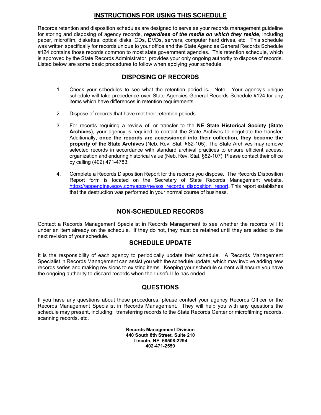#### **INSTRUCTIONS FOR USING THIS SCHEDULE**

Records retention and disposition schedules are designed to serve as your records management guideline for storing and disposing of agency records, *regardless of the media on which they reside*, including paper, microfilm, diskettes, optical disks, CDs, DVDs, servers, computer hard drives, etc. This schedule was written specifically for records unique to your office and the State Agencies General Records Schedule #124 contains those records common to most state government agencies. This retention schedule, which is approved by the State Records Administrator, provides your only ongoing authority to dispose of records. Listed below are some basic procedures to follow when applying your schedule.

#### **DISPOSING OF RECORDS**

- 1. Check your schedules to see what the retention period is**.** Note: Your agency's unique schedule will take precedence over State Agencies General Records Schedule #124 for any items which have differences in retention requirements.
- 2. Dispose of records that have met their retention periods.
- 3. For records requiring a review of, or transfer to the **NE State Historical Society (State Archives)**, your agency is required to contact the State Archives to negotiate the transfer. Additionally, **once the records are accessioned into their collection, they become the property of the State Archives** (Neb. Rev. Stat. §82-105). The State Archives may remove selected records in accordance with standard archival practices to ensure efficient access, organization and enduring historical value (Neb. Rev. Stat. §82-107). Please contact their office by calling (402) 471-4783.
- 4. Complete a Records Disposition Report for the records you dispose. The Records Disposition Report form is located on the Secretary of State Records Management website. [https://appengine.egov.com/apps/ne/sos\\_records\\_disposition\\_report](https://appengine.egov.com/apps/ne/sos_records_disposition_report)**.** This report establishes that the destruction was performed in your normal course of business.

### **NON-SCHEDULED RECORDS**

Contact a Records Management Specialist in Records Management to see whether the records will fit under an item already on the schedule. If they do not, they must be retained until they are added to the next revision of your schedule.

#### **SCHEDULE UPDATE**

It is the responsibility of each agency to periodically update their schedule. A Records Management Specialist in Records Management can assist you with the schedule update, which may involve adding new records series and making revisions to existing items. Keeping your schedule current will ensure you have the ongoing authority to discard records when their useful life has ended.

### **QUESTIONS**

If you have any questions about these procedures, please contact your agency Records Officer or the Records Management Specialist in Records Management. They will help you with any questions the schedule may present, including: transferring records to the State Records Center or microfilming records, scanning records, etc.

> **Records Management Division 440 South 8th Street, Suite 210 Lincoln, NE 68508-2294 402-471-2559**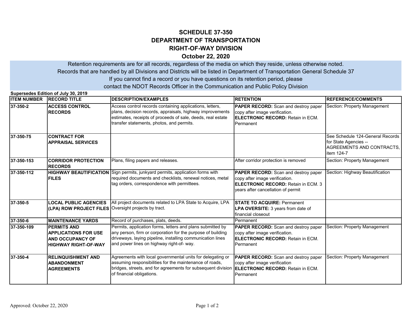#### **SCHEDULE 37-350 DEPARTMENT OF TRANSPORTATION October 22, 2020 RIGHT-OF-WAY DIVISION**

If you cannot find a record or you have questions on its retention period, please Retention requirements are for all records, regardless of the media on which they reside, unless otherwise noted. Records that are handled by all Divisions and Districts will be listed in Department of Transportation General Schedule 37

contact the NDOT Records Officer in the Communication and Public Policy Division

| Supersedes Edition of July 30, 2019 |                                                                                                      |                                                                                                                                                                                                                                      |                                                                                                                                                                    |                                                                                                      |
|-------------------------------------|------------------------------------------------------------------------------------------------------|--------------------------------------------------------------------------------------------------------------------------------------------------------------------------------------------------------------------------------------|--------------------------------------------------------------------------------------------------------------------------------------------------------------------|------------------------------------------------------------------------------------------------------|
| <b>ITEM NUMBER RECORD TITLE</b>     |                                                                                                      | <b>DESCRIPTION/EXAMPLES</b>                                                                                                                                                                                                          | <b>RETENTION</b>                                                                                                                                                   | <b>IREFERENCE/COMMENTS</b>                                                                           |
| 37-350-2                            | <b>ACCESS CONTROL</b><br><b>RECORDS</b>                                                              | Access control records containing applications, letters,<br>plans, decision records, appraisals, highway improvements<br>estimates, receipts of proceeds of sale, deeds, real estate<br>transfer statements, photos, and permits.    | <b>PAPER RECORD:</b> Scan and destroy paper<br>copy after image verification.<br><b>ELECTRONIC RECORD:</b> Retain in ECM.<br>Permanent                             | Section: Property Management                                                                         |
| 37-350-75                           | <b>CONTRACT FOR</b><br><b>APPRAISAL SERVICES</b>                                                     |                                                                                                                                                                                                                                      |                                                                                                                                                                    | See Schedule 124-General Records<br>for State Agencies --<br>AGREEMENTS AND CONTRACTS.<br>item 124-7 |
| 37-350-153                          | <b>CORRIDOR PROTECTION</b><br><b>RECORDS</b>                                                         | Plans, filing papers and releases.                                                                                                                                                                                                   | After corridor protection is removed                                                                                                                               | Section: Property Management                                                                         |
| 37-350-112                          | <b>FILES</b>                                                                                         | <b>HIGHWAY BEAUTIFICATION</b> Sign permits, junkyard permits, application forms with<br>required documents and checklists, renewal notices, metal<br>tag orders, correspondence with permittees.                                     | <b>PAPER RECORD:</b> Scan and destroy paper<br>copy after image verification.<br><b>IELECTRONIC RECORD:</b> Retain in ECM. 3<br>years after cancellation of permit | Section: Highway Beautification                                                                      |
| 37-350-5                            | <b>LOCAL PUBLIC AGENCIES</b><br>(LPA) ROW PROJECT FILES Oversight projects by tract.                 | All project documents related to LPA State to Acquire, LPA                                                                                                                                                                           | <b>ISTATE TO ACQUIRE: Permanent</b><br>LPA OVERSITE: 3 years from date of<br>financial closeout                                                                    |                                                                                                      |
| 37-350-6                            | <b>MAINTENANCE YARDS</b>                                                                             | Record of purchases, plats, deeds.                                                                                                                                                                                                   | Permanent                                                                                                                                                          |                                                                                                      |
| 37-350-109                          | <b>PERMITS AND</b><br><b>APPLICATIONS FOR USE</b><br>AND OCCUPANCY OF<br><b>HIGHWAY RIGHT-OF-WAY</b> | Permits, application forms, letters and plans submitted by<br>any person, firm or corporation for the purpose of building<br>driveways, laying pipeline, installing communication lines<br>and power lines on highway right-of- way. | PAPER RECORD: Scan and destroy paper<br>copy after image verification.<br><b>ELECTRONIC RECORD:</b> Retain in ECM.<br>Permanent                                    | Section: Property Management                                                                         |
| $37 - 350 - 4$                      | <b>RELINQUISHMENT AND</b><br><b>ABANDONMENT</b><br><b>AGREEMENTS</b>                                 | Agreements with local governmental units for delegating or<br>assuming responsibilities for the maintenance of roads,<br>bridges, streets, and for agreements for subsequent division<br>of financial obligations.                   | <b>PAPER RECORD:</b> Scan and destroy paper<br>copy after image verification<br><b>ELECTRONIC RECORD:</b> Retain in ECM.<br>Permanent                              | Section: Property Management                                                                         |